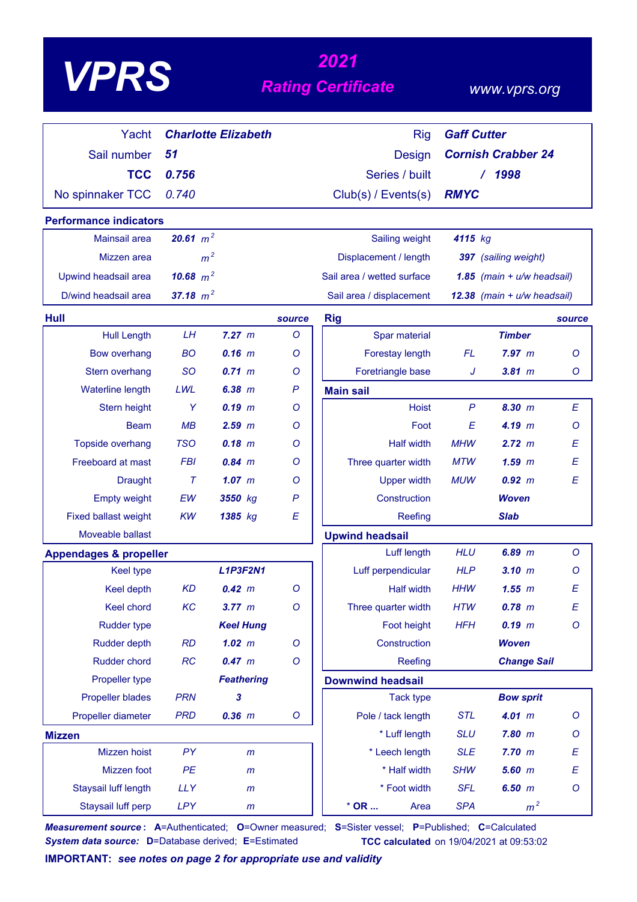# *<sup>2021</sup> VPRS Rating Certificate*

### *www.vprs.org*

| Yacht                             |             | <b>Charlotte Elizabeth</b> |              | <b>Rig</b>                 | <b>Gaff Cutter</b> |                              |         |
|-----------------------------------|-------------|----------------------------|--------------|----------------------------|--------------------|------------------------------|---------|
| Sail number                       | 51          |                            |              | <b>Design</b>              |                    | <b>Cornish Crabber 24</b>    |         |
| <b>TCC</b>                        | 0.756       |                            |              | Series / built             |                    | 1998                         |         |
| No spinnaker TCC                  | 0.740       |                            |              | Club(s) / Events(s)        | <b>RMYC</b>        |                              |         |
| <b>Performance indicators</b>     |             |                            |              |                            |                    |                              |         |
| <b>Mainsail area</b>              | 20.61 $m^2$ |                            |              | Sailing weight             | 4115 kg            |                              |         |
| Mizzen area                       |             | m <sup>2</sup>             |              | Displacement / length      |                    | 397 (sailing weight)         |         |
| Upwind headsail area              | 10.68 $m^2$ |                            |              | Sail area / wetted surface |                    | 1.85 $(main + u/w headsail)$ |         |
| D/wind headsail area              | 37.18 $m^2$ |                            |              | Sail area / displacement   |                    | 12.38 (main + u/w headsail)  |         |
| Hull                              |             |                            | source       | <b>Rig</b>                 |                    |                              | source  |
| <b>Hull Length</b>                | LH          | 7.27 m                     | O            | Spar material              |                    | <b>Timber</b>                |         |
| <b>Bow overhang</b>               | <b>BO</b>   | $0.16$ m                   | O            | Forestay length            | <b>FL</b>          | 7.97 m                       | $\circ$ |
| Stern overhang                    | <b>SO</b>   | $0.71 \, m$                | Ο            | Foretriangle base          | J                  | $3.81$ m                     | Ο       |
| Waterline length                  | LWL         | 6.38 m                     | $\mathsf{P}$ | <b>Main sail</b>           |                    |                              |         |
| Stern height                      | Y           | $0.19$ $m$                 | Ο            | <b>Hoist</b>               | $\mathsf{P}$       | 8.30 m                       | E       |
| <b>Beam</b>                       | MB          | $2.59$ $m$                 | O            | Foot                       | E                  | 4.19 m                       | O       |
| <b>Topside overhang</b>           | <b>TSO</b>  | $0.18$ m                   | Ο            | <b>Half width</b>          | <b>MHW</b>         | 2.72 m                       | E       |
| Freeboard at mast                 | <b>FBI</b>  | 0.84~m                     | Ο            | Three quarter width        | <b>MTW</b>         | $1.59$ $m$                   | E       |
| <b>Draught</b>                    | $\tau$      | $1.07$ m                   | Ο            | <b>Upper width</b>         | <b>MUW</b>         | 0.92 m                       | E       |
| <b>Empty weight</b>               | EW          | 3550 kg                    | $\mathsf{P}$ | Construction               |                    | <b>Woven</b>                 |         |
| <b>Fixed ballast weight</b>       | <b>KW</b>   | 1385 kg                    | E            | Reefing                    |                    | <b>Slab</b>                  |         |
| Moveable ballast                  |             |                            |              | <b>Upwind headsail</b>     |                    |                              |         |
| <b>Appendages &amp; propeller</b> |             |                            |              | Luff length                | <b>HLU</b>         | $6.89$ $m$                   | $\circ$ |
| <b>Keel type</b>                  |             | <b>L1P3F2N1</b>            |              | Luff perpendicular         | <b>HLP</b>         | 3.10~m                       | Ο       |
| <b>Keel depth</b>                 | <b>KD</b>   | 0.42 m                     | O            | <b>Half width</b>          | <b>HHW</b>         | 1.55~m                       | E       |
| Keel chord                        | KC          | 3.77 m                     | $\circ$      | Three quarter width        | <b>HTW</b>         | $0.78$ m                     | E       |
| Rudder type                       |             | <b>Keel Hung</b>           |              | Foot height                | <b>HFH</b>         | $0.19$ m                     | $\circ$ |
| <b>Rudder depth</b>               | <b>RD</b>   | $1.02$ m                   | O            | Construction               |                    | <b>Woven</b>                 |         |
| Rudder chord                      | RC          | 0.47 m                     | O            | Reefing                    |                    | <b>Change Sail</b>           |         |
| Propeller type                    |             | <b>Feathering</b>          |              | <b>Downwind headsail</b>   |                    |                              |         |
| <b>Propeller blades</b>           | <b>PRN</b>  | 3                          |              | <b>Tack type</b>           |                    | <b>Bow sprit</b>             |         |
| Propeller diameter                | <b>PRD</b>  | $0.36$ $m$                 | $\mathsf{O}$ | Pole / tack length         | <b>STL</b>         | 4.01 m                       | $\circ$ |
| <b>Mizzen</b>                     |             |                            |              | * Luff length              | <b>SLU</b>         | $7.80$ $m$                   | $\circ$ |
| Mizzen hoist                      | PY          | m                          |              | * Leech length             | <b>SLE</b>         | 7.70 m                       | E       |
| Mizzen foot                       | PE          | $\mathsf{m}$               |              | * Half width               | <b>SHW</b>         | $5.60$ $m$                   | E       |
| Staysail luff length              | <b>LLY</b>  | $\mathsf{m}$               |              | * Foot width               | <b>SFL</b>         | 6.50 m                       | $\circ$ |
| Staysail luff perp                | <b>LPY</b>  | m                          |              | $*$ OR $\ldots$<br>Area    | <b>SPA</b>         | m <sup>2</sup>               |         |

*Measurement source* **: A**=Authenticated; **O**=Owner measured; **S**=Sister vessel; **P**=Published; **C**=Calculated *System data source:* **D**=Database derived; **E**=Estimated **TCC calculated** on 19/04/2021 at 09:53:02

**IMPORTANT:** *see notes on page 2 for appropriate use and validity*